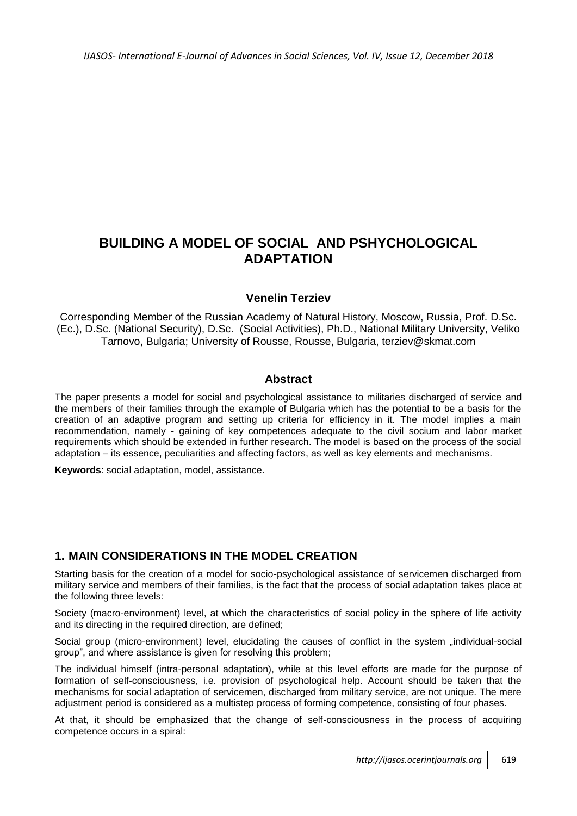# **BUILDING A MODEL OF SOCIAL AND PSHYCHOLOGICAL ADAPTATION**

### **Venelin Terziev**

Corresponding Member of the Russian Academy of Natural History, Moscow, Russia, Prof. D.Sc. (Ec.), D.Sc. (National Security), D.Sc. (Social Activities), Ph.D., National Military University, Veliko Tarnovo, Bulgaria; University of Rousse, Rousse, Bulgaria, [terziev@skmat.com](mailto:terziev@skmat.com)

#### **Abstract**

The paper presents a model for social and psychological assistance to militaries discharged of service and the members of their families through the example of Bulgaria which has the potential to be a basis for the creation of an adaptive program and setting up criteria for efficiency in it. The model implies a main recommendation, namely - gaining of key competences adequate to the civil socium and labor market requirements which should be extended in further research. The model is based on the process of the social adaptation – its essence, peculiarities and affecting factors, as well as key elements and mechanisms.

**Keywords**: social adaptation, model, assistance.

### **1. MAIN CONSIDERATIONS IN THE MODEL CREATION**

Starting basis for the creation of a model for socio-psychological assistance of servicemen discharged from military service and members of their families, is the fact that the process of social adaptation takes place at the following three levels:

Society (macro-environment) level, at which the characteristics of social policy in the sphere of life activity and its directing in the required direction, are defined;

Social group (micro-environment) level, elucidating the causes of conflict in the system "individual-social group", and where assistance is given for resolving this problem;

The individual himself (intra-personal adaptation), while at this level efforts are made for the purpose of formation of self-consciousness, i.e. provision of psychological help. Account should be taken that the mechanisms for social adaptation of servicemen, discharged from military service, are not unique. The mere adjustment period is considered as a multistep process of forming competence, consisting of four phases.

At that, it should be emphasized that the change of self-consciousness in the process of acquiring competence occurs in a spiral: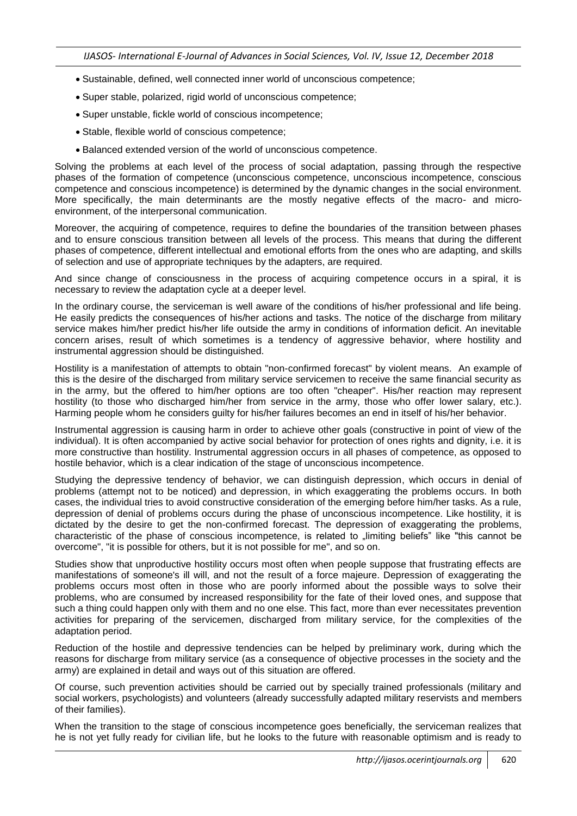- Sustainable, defined, well connected inner world of unconscious competence;
- Super stable, polarized, rigid world of unconscious competence;
- Super unstable, fickle world of conscious incompetence;
- Stable, flexible world of conscious competence;
- Balanced extended version of the world of unconscious competence.

Solving the problems at each level of the process of social adaptation, passing through the respective phases of the formation of competence (unconscious competence, unconscious incompetence, conscious competence and conscious incompetence) is determined by the dynamic changes in the social environment. More specifically, the main determinants are the mostly negative effects of the macro- and microenvironment, of the interpersonal communication.

Moreover, the acquiring of competence, requires to define the boundaries of the transition between phases and to ensure conscious transition between all levels of the process. This means that during the different phases of competence, different intellectual and emotional efforts from the ones who are adapting, and skills of selection and use of appropriate techniques by the adapters, are required.

And since change of consciousness in the process of acquiring competence occurs in a spiral, it is necessary to review the adaptation cycle at a deeper level.

In the ordinary course, the serviceman is well aware of the conditions of his/her professional and life being. He easily predicts the consequences of his/her actions and tasks. The notice of the discharge from military service makes him/her predict his/her life outside the army in conditions of information deficit. An inevitable concern arises, result of which sometimes is a tendency of aggressive behavior, where hostility and instrumental aggression should be distinguished.

Hostility is a manifestation of attempts to obtain "non-confirmed forecast" by violent means. An example of this is the desire of the discharged from military service servicemen to receive the same financial security as in the army, but the offered to him/her options are too often "cheaper". His/her reaction may represent hostility (to those who discharged him/her from service in the army, those who offer lower salary, etc.). Harming people whom he considers guilty for his/her failures becomes an end in itself of his/her behavior.

Instrumental aggression is causing harm in order to achieve other goals (constructive in point of view of the individual). It is often accompanied by active social behavior for protection of ones rights and dignity, i.e. it is more constructive than hostility. Instrumental aggression occurs in all phases of competence, as opposed to hostile behavior, which is a clear indication of the stage of unconscious incompetence.

Studying the depressive tendency of behavior, we can distinguish depression, which occurs in denial of problems (attempt not to be noticed) and depression, in which exaggerating the problems occurs. In both cases, the individual tries to avoid constructive consideration of the emerging before him/her tasks. As a rule, depression of denial of problems occurs during the phase of unconscious incompetence. Like hostility, it is dictated by the desire to get the non-confirmed forecast. The depression of exaggerating the problems, characteristic of the phase of conscious incompetence, is related to "limiting beliefs" like "this cannot be overcome", "it is possible for others, but it is not possible for me", and so on.

Studies show that unproductive hostility occurs most often when people suppose that frustrating effects are manifestations of someone's ill will, and not the result of a force majeure. Depression of exaggerating the problems occurs most often in those who are poorly informed about the possible ways to solve their problems, who are consumed by increased responsibility for the fate of their loved ones, and suppose that such a thing could happen only with them and no one else. This fact, more than ever necessitates prevention activities for preparing of the servicemen, discharged from military service, for the complexities of the adaptation period.

Reduction of the hostile and depressive tendencies can be helped by preliminary work, during which the reasons for discharge from military service (as a consequence of objective processes in the society and the army) are explained in detail and ways out of this situation are offered.

Of course, such prevention activities should be carried out by specially trained professionals (military and social workers, psychologists) and volunteers (already successfully adapted military reservists and members of their families).

When the transition to the stage of conscious incompetence goes beneficially, the serviceman realizes that he is not yet fully ready for civilian life, but he looks to the future with reasonable optimism and is ready to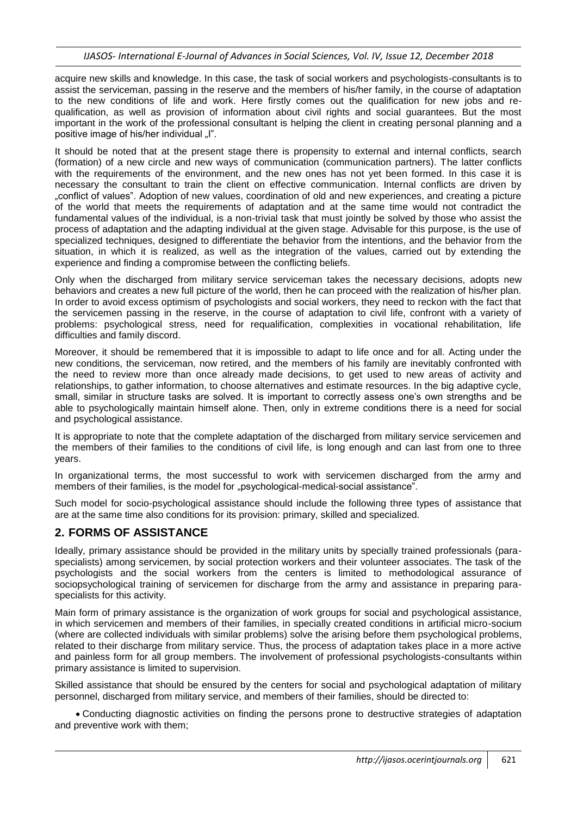acquire new skills and knowledge. In this case, the task of social workers and psychologists-consultants is to assist the serviceman, passing in the reserve and the members of his/her family, in the course of adaptation to the new conditions of life and work. Here firstly comes out the qualification for new jobs and requalification, as well as provision of information about civil rights and social guarantees. But the most important in the work of the professional consultant is helping the client in creating personal planning and a positive image of his/her individual "I".

It should be noted that at the present stage there is propensity to external and internal conflicts, search (formation) of a new circle and new ways of communication (communication partners). The latter conflicts with the requirements of the environment, and the new ones has not yet been formed. In this case it is necessary the consultant to train the client on effective communication. Internal conflicts are driven by "conflict of values". Adoption of new values, coordination of old and new experiences, and creating a picture of the world that meets the requirements of adaptation and at the same time would not contradict the fundamental values of the individual, is a non-trivial task that must jointly be solved by those who assist the process of adaptation and the adapting individual at the given stage. Advisable for this purpose, is the use of specialized techniques, designed to differentiate the behavior from the intentions, and the behavior from the situation, in which it is realized, as well as the integration of the values, carried out by extending the experience and finding a compromise between the conflicting beliefs.

Only when the discharged from military service serviceman takes the necessary decisions, adopts new behaviors and creates a new full picture of the world, then he can proceed with the realization of his/her plan. In order to avoid excess optimism of psychologists and social workers, they need to reckon with the fact that the servicemen passing in the reserve, in the course of adaptation to civil life, confront with a variety of problems: psychological stress, need for requalification, complexities in vocational rehabilitation, life difficulties and family discord.

Moreover, it should be remembered that it is impossible to adapt to life once and for all. Acting under the new conditions, the serviceman, now retired, and the members of his family are inevitably confronted with the need to review more than once already made decisions, to get used to new areas of activity and relationships, to gather information, to choose alternatives and estimate resources. In the big adaptive cycle, small, similar in structure tasks are solved. It is important to correctly assess one's own strengths and be able to psychologically maintain himself alone. Then, only in extreme conditions there is a need for social and psychological assistance.

It is appropriate to note that the complete adaptation of the discharged from military service servicemen and the members of their families to the conditions of civil life, is long enough and can last from one to three years.

In organizational terms, the most successful to work with servicemen discharged from the army and members of their families, is the model for "psychological-medical-social assistance".

Such model for socio-psychological assistance should include the following three types of assistance that are at the same time also conditions for its provision: primary, skilled and specialized.

## **2. FORMS OF ASSISTANCE**

Ideally, primary assistance should be provided in the military units by specially trained professionals (paraspecialists) among servicemen, by social protection workers and their volunteer associates. The task of the psychologists and the social workers from the centers is limited to methodological assurance of sociopsychological training of servicemen for discharge from the army and assistance in preparing paraspecialists for this activity.

Main form of primary assistance is the organization of work groups for social and psychological assistance, in which servicemen and members of their families, in specially created conditions in artificial micro-socium (where are collected individuals with similar problems) solve the arising before them psychological problems, related to their discharge from military service. Thus, the process of adaptation takes place in a more active and painless form for all group members. The involvement of professional psychologists-consultants within primary assistance is limited to supervision.

Skilled assistance that should be ensured by the centers for social and psychological adaptation of military personnel, discharged from military service, and members of their families, should be directed to:

 Conducting diagnostic activities on finding the persons prone to destructive strategies of adaptation and preventive work with them;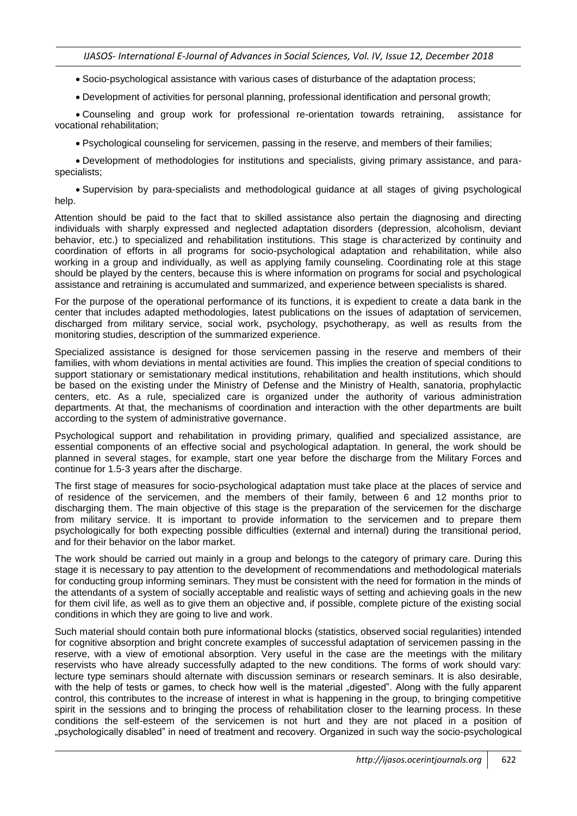Socio-psychological assistance with various cases of disturbance of the adaptation process;

Development of activities for personal planning, professional identification and personal growth;

 Counseling and group work for professional re-orientation towards retraining, assistance for vocational rehabilitation;

Psychological counseling for servicemen, passing in the reserve, and members of their families;

 Development of methodologies for institutions and specialists, giving primary assistance, and paraspecialists;

 Supervision by para-specialists and methodological guidance at all stages of giving psychological help.

Attention should be paid to the fact that to skilled assistance also pertain the diagnosing and directing individuals with sharply expressed and neglected adaptation disorders (depression, alcoholism, deviant behavior, etc.) to specialized and rehabilitation institutions. This stage is characterized by continuity and coordination of efforts in all programs for socio-psychological adaptation and rehabilitation, while also working in a group and individually, as well as applying family counseling. Coordinating role at this stage should be played by the centers, because this is where information on programs for social and psychological assistance and retraining is accumulated and summarized, and experience between specialists is shared.

For the purpose of the operational performance of its functions, it is expedient to create a data bank in the center that includes adapted methodologies, latest publications on the issues of adaptation of servicemen, discharged from military service, social work, psychology, psychotherapy, as well as results from the monitoring studies, description of the summarized experience.

Specialized assistance is designed for those servicemen passing in the reserve and members of their families, with whom deviations in mental activities are found. This implies the creation of special conditions to support stationary or semistationary medical institutions, rehabilitation and health institutions, which should be based on the existing under the Ministry of Defense and the Ministry of Health, sanatoria, prophylactic centers, etc. As a rule, specialized care is organized under the authority of various administration departments. At that, the mechanisms of coordination and interaction with the other departments are built according to the system of administrative governance.

Psychological support and rehabilitation in providing primary, qualified and specialized assistance, are essential components of an effective social and psychological adaptation. In general, the work should be planned in several stages, for example, start one year before the discharge from the Military Forces and continue for 1.5-3 years after the discharge.

The first stage of measures for socio-psychological adaptation must take place at the places of service and of residence of the servicemen, and the members of their family, between 6 and 12 months prior to discharging them. The main objective of this stage is the preparation of the servicemen for the discharge from military service. It is important to provide information to the servicemen and to prepare them psychologically for both expecting possible difficulties (external and internal) during the transitional period, and for their behavior on the labor market.

The work should be carried out mainly in a group and belongs to the category of primary care. During this stage it is necessary to pay attention to the development of recommendations and methodological materials for conducting group informing seminars. They must be consistent with the need for formation in the minds of the attendants of a system of socially acceptable and realistic ways of setting and achieving goals in the new for them civil life, as well as to give them an objective and, if possible, complete picture of the existing social conditions in which they are going to live and work.

Such material should contain both pure informational blocks (statistics, observed social regularities) intended for cognitive absorption and bright concrete examples of successful adaptation of servicemen passing in the reserve, with a view of emotional absorption. Very useful in the case are the meetings with the military reservists who have already successfully adapted to the new conditions. The forms of work should vary: lecture type seminars should alternate with discussion seminars or research seminars. It is also desirable, with the help of tests or games, to check how well is the material "digested". Along with the fully apparent control, this contributes to the increase of interest in what is happening in the group, to bringing competitive spirit in the sessions and to bringing the process of rehabilitation closer to the learning process. In these conditions the self-esteem of the servicemen is not hurt and they are not placed in a position of "psychologically disabled" in need of treatment and recovery. Organized in such way the socio-psychological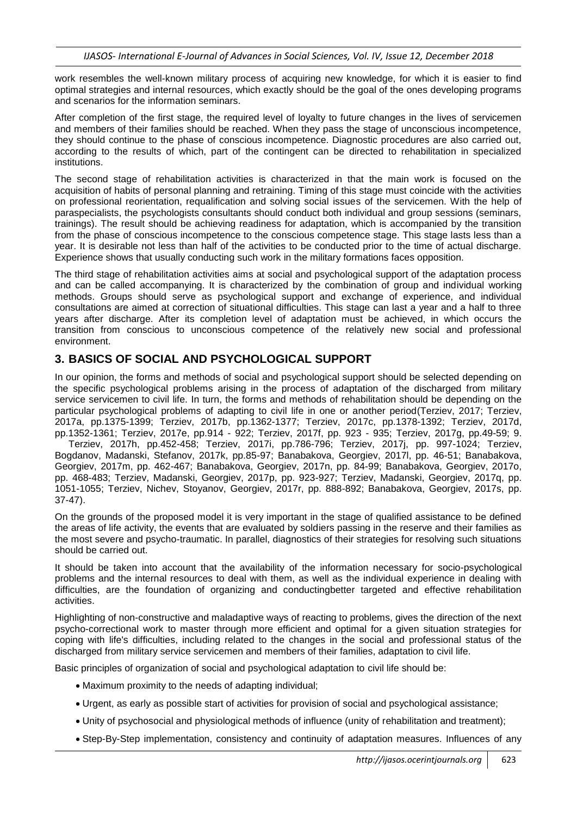work resembles the well-known military process of acquiring new knowledge, for which it is easier to find optimal strategies and internal resources, which exactly should be the goal of the ones developing programs and scenarios for the information seminars.

After completion of the first stage, the required level of loyalty to future changes in the lives of servicemen and members of their families should be reached. When they pass the stage of unconscious incompetence, they should continue to the phase of conscious incompetence. Diagnostic procedures are also carried out, according to the results of which, part of the contingent can be directed to rehabilitation in specialized institutions.

The second stage of rehabilitation activities is characterized in that the main work is focused on the acquisition of habits of personal planning and retraining. Timing of this stage must coincide with the activities on professional reorientation, requalification and solving social issues of the servicemen. With the help of paraspecialists, the psychologists consultants should conduct both individual and group sessions (seminars, trainings). The result should be achieving readiness for adaptation, which is accompanied by the transition from the phase of conscious incompetence to the conscious competence stage. This stage lasts less than a year. It is desirable not less than half of the activities to be conducted prior to the time of actual discharge. Experience shows that usually conducting such work in the military formations faces opposition.

The third stage of rehabilitation activities aims at social and psychological support of the adaptation process and can be called accompanying. It is characterized by the combination of group and individual working methods. Groups should serve as psychological support and exchange of experience, and individual consultations are aimed at correction of situational difficulties. This stage can last a year and a half to three years after discharge. After its completion level of adaptation must be achieved, in which occurs the transition from conscious to unconscious competence of the relatively new social and professional environment.

### **3. BASICS OF SOCIAL AND PSYCHOLOGICAL SUPPORT**

In our opinion, the forms and methods of social and psychological support should be selected depending on the specific psychological problems arising in the process of adaptation of the discharged from military service servicemen to civil life. In turn, the forms and methods of rehabilitation should be depending on the particular psychological problems of adapting to civil life in one or another period(Terziev, 2017; Terziev, 2017a, pp.1375-1399; Terziev, 2017b, pp.1362-1377; Terziev, 2017c, pp.1378-1392; Terziev, 2017d, pp.1352-1361; Terziev, 2017e, pp.914 - 922; Terziev, 2017f, pp. 923 - 935; Terziev, 2017g, pp.49-59; 9. Terziev, 2017h, pp.452-458; Terziev, 2017i, pp.786-796; Terziev, 2017j, pp. 997-1024; Terziev, Bogdanov, Madanski, Stefanov, 2017k, pp.85-97; Banabakova, Georgiev, 2017l, pp. 46-51; Banabakova, Georgiev, 2017m, pp. 462-467; Banabakova, Georgiev, 2017n, pp. 84-99; Banabakova, Georgiev, 2017o, pp. 468-483; Terziev, Madanski, Georgiev, 2017p, pp. 923-927; Terziev, Madanski, Georgiev, 2017q, pp. 1051-1055; Terziev, Nichev, Stoyanov, Georgiev, 2017r, pp. 888-892; Banabakova, Georgiev, 2017s, pp. 37-47).

On the grounds of the proposed model it is very important in the stage of qualified assistance to be defined the areas of life activity, the events that are evaluated by soldiers passing in the reserve and their families as the most severe and psycho-traumatic. In parallel, diagnostics of their strategies for resolving such situations should be carried out.

It should be taken into account that the availability of the information necessary for socio-psychological problems and the internal resources to deal with them, as well as the individual experience in dealing with difficulties, are the foundation of organizing and conductingbetter targeted and effective rehabilitation activities.

Highlighting of non-constructive and maladaptive ways of reacting to problems, gives the direction of the next psycho-correctional work to master through more efficient and optimal for a given situation strategies for coping with life's difficulties, including related to the changes in the social and professional status of the discharged from military service servicemen and members of their families, adaptation to civil life.

Basic principles of organization of social and psychological adaptation to civil life should be:

- Maximum proximity to the needs of adapting individual;
- Urgent, as early as possible start of activities for provision of social and psychological assistance;
- Unity of psychosocial and physiological methods of influence (unity of rehabilitation and treatment);
- Step-By-Step implementation, consistency and continuity of adaptation measures. Influences of any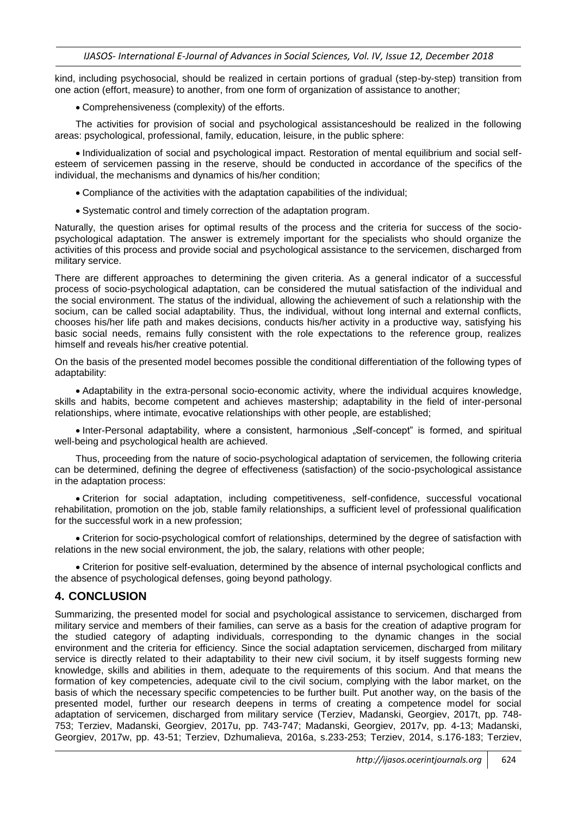kind, including psychosocial, should be realized in certain portions of gradual (step-by-step) transition from one action (effort, measure) to another, from one form of organization of assistance to another;

Comprehensiveness (complexity) of the efforts.

The activities for provision of social and psychological assistanceshould be realized in the following areas: psychological, professional, family, education, leisure, in the public sphere:

 Individualization of social and psychological impact. Restoration of mental equilibrium and social selfesteem of servicemen passing in the reserve, should be conducted in accordance of the specifics of the individual, the mechanisms and dynamics of his/her condition;

Compliance of the activities with the adaptation capabilities of the individual;

Systematic control and timely correction of the adaptation program.

Naturally, the question arises for optimal results of the process and the criteria for success of the sociopsychological adaptation. The answer is extremely important for the specialists who should organize the activities of this process and provide social and psychological assistance to the servicemen, discharged from military service.

There are different approaches to determining the given criteria. As a general indicator of a successful process of socio-psychological adaptation, can be considered the mutual satisfaction of the individual and the social environment. The status of the individual, allowing the achievement of such a relationship with the socium, can be called social adaptability. Thus, the individual, without long internal and external conflicts, chooses his/her life path and makes decisions, conducts his/her activity in a productive way, satisfying his basic social needs, remains fully consistent with the role expectations to the reference group, realizes himself and reveals his/her creative potential.

On the basis of the presented model becomes possible the conditional differentiation of the following types of adaptability:

 Adaptability in the extra-personal socio-economic activity, where the individual acquires knowledge, skills and habits, become competent and achieves mastership; adaptability in the field of inter-personal relationships, where intimate, evocative relationships with other people, are established;

• Inter-Personal adaptability, where a consistent, harmonious "Self-concept" is formed, and spiritual well-being and psychological health are achieved.

Thus, proceeding from the nature of socio-psychological adaptation of servicemen, the following criteria can be determined, defining the degree of effectiveness (satisfaction) of the socio-psychological assistance in the adaptation process:

 Criterion for social adaptation, including competitiveness, self-confidence, successful vocational rehabilitation, promotion on the job, stable family relationships, a sufficient level of professional qualification for the successful work in a new profession;

 Criterion for socio-psychological comfort of relationships, determined by the degree of satisfaction with relations in the new social environment, the job, the salary, relations with other people;

 Criterion for positive self-evaluation, determined by the absence of internal psychological conflicts and the absence of psychological defenses, going beyond pathology.

### **4. CONCLUSION**

Summarizing, the presented model for social and psychological assistance to servicemen, discharged from military service and members of their families, can serve as a basis for the creation of adaptive program for the studied category of adapting individuals, corresponding to the dynamic changes in the social environment and the criteria for efficiency. Since the social adaptation servicemen, discharged from military service is directly related to their adaptability to their new civil socium, it by itself suggests forming new knowledge, skills and abilities in them, adequate to the requirements of this socium. And that means the formation of key competencies, adequate civil to the civil socium, complying with the labor market, on the basis of which the necessary specific competencies to be further built. Put another way, on the basis of the presented model, further our research deepens in terms of creating a competence model for social adaptation of servicemen, discharged from military service (Terziev, Madanski, Georgiev, 2017t, pp. 748- 753; Terziev, Madanski, Georgiev, 2017u, pp. 743-747; Madanski, Georgiev, 2017v, pp. 4-13; Madanski, Georgiev, 2017w, pp. 43-51; Terziev, Dzhumalieva, 2016a, s.233-253; Terziev, 2014, s.176-183; Terziev,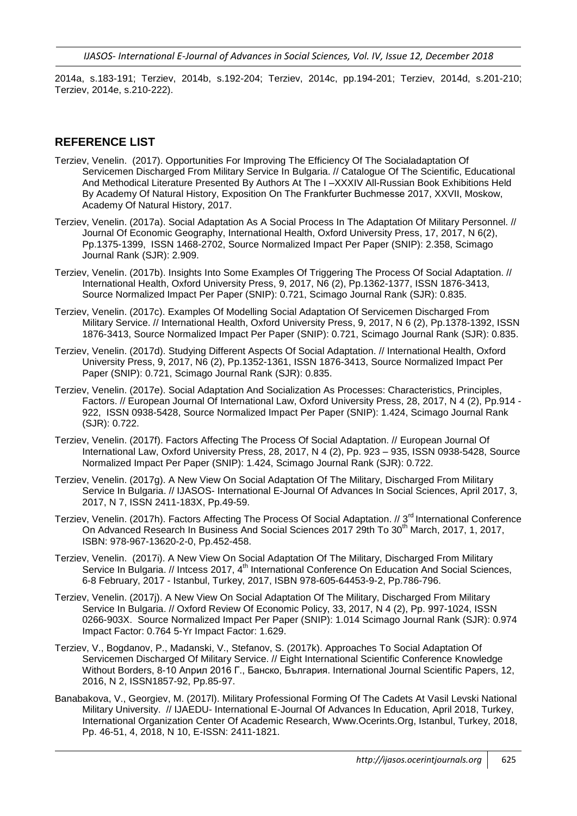2014a, s.183-191; Terziev, 2014b, s.192-204; Terziev, 2014c, pp.194-201; Terziev, 2014d, s.201-210; Terziev, 2014e, s.210-222).

### **REFERENCE LIST**

- Terziev, Venelin. (2017). Opportunities For Improving The Efficiency Of The Socialadaptation Of Servicemen Discharged From Military Service In Bulgaria. // Catalogue Of The Scientific, Educational And Methodical Literature Presented By Authors At The I –XXXIV All-Russian Book Exhibitions Held By Academy Of Natural History, Exposition On The Frankfurter Buchmessе 2017, XXVII, Moskow, Academy Of Natural History, 2017.
- Terziev, Venelin. (2017a). Social Adaptation As A Social Process In The Adaptation Of Military Personnel. // Journal Of Economic Geography, International Health, Oxford University Press, 17, 2017, N 6(2), Pp.1375-1399, ISSN 1468-2702, Source Normalized Impact Per Paper (SNIP): 2.358, Scimago Journal Rank (SJR): 2.909.
- Terziev, Venelin. (2017b). Insights Into Some Examples Of Triggering The Process Of Social Adaptation. // International Health, Oxford University Press, 9, 2017, N6 (2), Pp.1362-1377, ISSN 1876-3413, Source Normalized Impact Per Paper (SNIP): 0.721, Scimago Journal Rank (SJR): 0.835.
- Terziev, Venelin. (2017c). Examples Of Modelling Social Adaptation Of Servicemen Discharged From Military Service. // International Health, Oxford University Press, 9, 2017, N 6 (2), Pp.1378-1392, ISSN 1876-3413, Source Normalized Impact Per Paper (SNIP): 0.721, Scimago Journal Rank (SJR): 0.835.
- Terziev, Venelin. (2017d). Studying Different Aspects Of Social Adaptation. // International Health, Oxford University Press, 9, 2017, N6 (2), Pp.1352-1361, ISSN 1876-3413, Source Normalized Impact Per Paper (SNIP): 0.721, Scimago Journal Rank (SJR): 0.835.
- Terziev, Venelin. (2017e). Social Adaptation And Socialization As Processes: Characteristics, Principles, Factors. // European Journal Of International Law, Oxford University Press, 28, 2017, N 4 (2), Pp.914 - 922, ISSN 0938-5428, Source Normalized Impact Per Paper (SNIP): 1.424, Scimago Journal Rank (SJR): 0.722.
- Terziev, Venelin. (2017f). Factors Affecting The Process Of Social Adaptation. // European Journal Of International Law, Oxford University Press, 28, 2017, N 4 (2), Pp. 923 – 935, ISSN 0938-5428, Source Normalized Impact Per Paper (SNIP): 1.424, Scimago Journal Rank (SJR): 0.722.
- Terziev, Venelin. (2017g). A New View On Social Adaptation Of The Military, Discharged From Military Service In Bulgaria. // IJASOS- International E-Journal Of Advances In Social Sciences, April 2017, 3, 2017, N 7, ISSN 2411-183X, Pp.49-59.
- Terziev, Venelin. (2017h). Factors Affecting The Process Of Social Adaptation. // 3<sup>rd</sup> International Conference On Advanced Research In Business And Social Sciences 2017 29th To  $30<sup>th</sup>$  March, 2017, 1, 2017, ISBN: 978-967-13620-2-0, Pp.452-458.
- Terziev, Venelin. (2017i). A New View On Social Adaptation Of The Military, Discharged From Military Service In Bulgaria. // Intcess 2017, 4<sup>th</sup> International Conference On Education And Social Sciences, 6-8 February, 2017 - Istanbul, Turkey, 2017, ISBN 978-605-64453-9-2, Pp.786-796.
- Terziev, Venelin. (2017j). A New View On Social Adaptation Of The Military, Discharged From Military Service In Bulgaria. // Oxford Review Of Economic Policy, 33, 2017, N 4 (2), Pp. 997-1024, ISSN 0266-903X. Source Normalized Impact Per Paper (SNIP): 1.014 Scimago Journal Rank (SJR): 0.974 Impact Factor: 0.764 5-Yr Impact Factor: 1.629.
- Terziev, V., Bogdanov, P., Madanski, V., Stefanov, S. (2017k). Approaches To Social Adaptation Of Servicemen Discharged Of Military Service. // Eight International Scientific Conference Knowledge Without Borders, 8-10 Април 2016 Г., Банско, България. International Journal Scientific Papers, 12, 2016, N 2, ISSN1857-92, Pp.85-97.
- Banabakova, V., Georgiev, M. (2017l). Military Professional Forming Of The Cadets At Vasil Levski National Military University. // IJAEDU- International E-Journal Of Advances In Education, April 2018, Turkey, International Organization Center Of Academic Research, Www.Ocerints.Org, Istanbul, Turkey, 2018, Pp. 46-51, 4, 2018, N 10, E-ISSN: 2411-1821.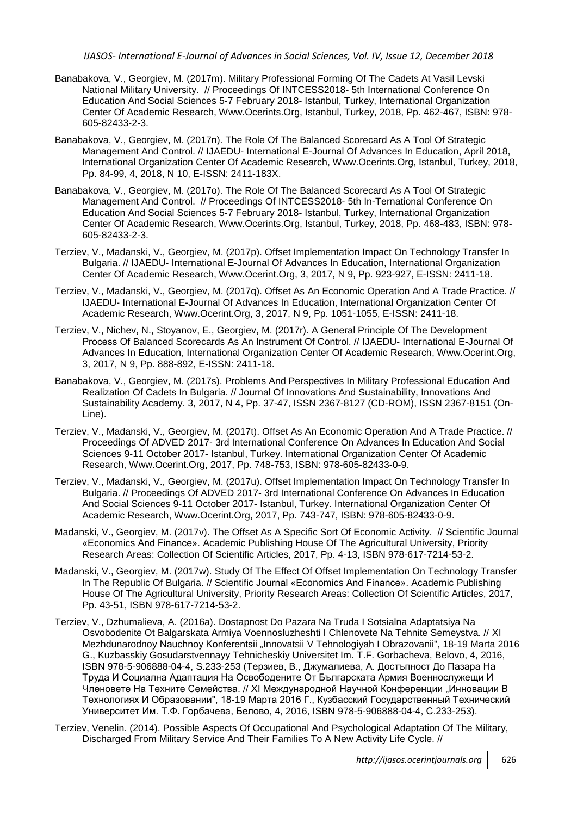- Banabakova, V., Georgiev, M. (2017m). Military Professional Forming Of The Cadets At Vasil Levski National Military University. // Proceedings Of INTCESS2018- 5th International Conference On Education And Social Sciences 5-7 February 2018- Istanbul, Turkey, International Organization Center Of Academic Research, Www.Ocerints.Org, Istanbul, Turkey, 2018, Pp. 462-467, ISBN: 978- 605-82433-2-3.
- Banabakova, V., Georgiev, M. (2017n). The Role Of The Balanced Scorecard As A Tool Of Strategic Management And Control. // IJAEDU- International E-Journal Of Advances In Education, April 2018, International Organization Center Of Academic Research, Www.Ocerints.Org, Istanbul, Turkey, 2018, Pp. 84-99, 4, 2018, N 10, E-ISSN: 2411-183X.
- Banabakova, V., Georgiev, M. (2017o). The Role Of The Balanced Scorecard As A Tool Of Strategic Management And Control. // Proceedings Of INTCESS2018- 5th In-Ternational Conference On Education And Social Sciences 5-7 February 2018- Istanbul, Turkey, International Organization Center Of Academic Research, Www.Ocerints.Org, Istanbul, Turkey, 2018, Pp. 468-483, ISBN: 978- 605-82433-2-3.
- Terziev, V., Madanski, V., Georgiev, M. (2017p). Offset Implementation Impact On Technology Transfer In Bulgaria. // IJAEDU- International E-Journal Of Advances In Education, International Organization Center Of Academic Research, Www.Ocerint.Org, 3, 2017, N 9, Pp. 923-927, E-ISSN: 2411-18.
- Terziev, V., Madanski, V., Georgiev, M. (2017q). Offset As An Economic Operation And A Trade Practice. // IJAEDU- International E-Journal Of Advances In Education, International Organization Center Of Academic Research, Www.Ocerint.Org, 3, 2017, N 9, Pp. 1051-1055, E-ISSN: 2411-18.
- Terziev, V., Nichev, N., Stoyanov, E., Georgiev, M. (2017r). A General Principle Of The Development Process Оf Balanced Scorecards As An Instrument Of Control. // IJAEDU- International E-Journal Of Advances In Education, International Organization Center Of Academic Research, Www.Ocerint.Org, 3, 2017, N 9, Pp. 888-892, E-ISSN: 2411-18.
- Banabakova, V., Georgiev, M. (2017s). Problems And Perspectives In Military Professional Education And Realization Of Cadets In Bulgaria. // Journal Of Innovations And Sustainability, Innovations And Sustainability Academy. 3, 2017, N 4, Pp. 37-47, ISSN 2367-8127 (CD-ROM), ISSN 2367-8151 (On-Line).
- Terziev, V., Madanski, V., Georgiev, M. (2017t). Offset As An Economic Operation And A Trade Practice. // Proceedings Of ADVED 2017- 3rd International Conference On Advances In Education And Social Sciences 9-11 October 2017- Istanbul, Turkey. International Organization Center Of Academic Research, Www.Ocerint.Org, 2017, Pp. 748-753, ISBN: 978-605-82433-0-9.
- Terziev, V., Madanski, V., Georgiev, M. (2017u). Offset Implementation Impact On Technology Transfer In Bulgaria. // Proceedings Of ADVED 2017- 3rd International Conference On Advances In Education And Social Sciences 9-11 October 2017- Istanbul, Turkey. International Organization Center Of Academic Research, Www.Ocerint.Org, 2017, Pp. 743-747, ISBN: 978-605-82433-0-9.
- Madanski, V., Georgiev, M. (2017v). The Offset As A Specific Sort Of Economic Activity. // Scientific Journal «Economics And Finance». Academic Publishing House Of The Agricultural University, Priority Research Areas: Collection Of Scientific Articles, 2017, Pp. 4-13, ISBN 978-617-7214-53-2.
- Madanski, V., Georgiev, M. (2017w). Study Of The Effect Of Offset Implementation On Technology Transfer In The Republic Of Bulgaria. // Scientific Journal «Economics And Finance». Academic Publishing House Of The Agricultural University, Priority Research Areas: Collection Of Scientific Articles, 2017, Pp. 43-51, ISBN 978-617-7214-53-2.
- Terziev, V., Dzhumalieva, A. (2016a). Dostapnost Do Pazara Na Truda I Sotsialna Adaptatsiya Na Osvobodenite Ot Balgarskata Armiya Voennosluzheshti I Chlenovete Na Tehnite Semeystva. // XI Mezhdunarodnoy Nauchnoy Konferentsii "Innovatsii V Tehnologiyah I Obrazovanii", 18-19 Marta 2016 G., Kuzbasskiy Gosudarstvennayy Tehnicheskiy Universitet Im. T.F. Gorbacheva, Belovo, 4, 2016, ISBN 978-5-906888-04-4, S.233-253 (Терзиев, В., Джумалиева, А. Достъпност До Пазара На Труда И Социална Адаптация На Освободените От Българската Армия Военнослужещи И Членовете На Техните Семейства. // XI Международной Научной Конференции "Инновации В Технологиях И Образовании", 18-19 Марта 2016 Г., Кузбасский Государственный Технический Университет Им. Т.Ф. Горбачева, Беловo, 4, 2016, ISBN 978-5-906888-04-4, С.233-253).
- Terziev, Venelin. (2014). Possible Aspects Of Occupational And Psychological Adaptation Of The Military, Discharged From Military Service And Their Families To A New Activity Life Cycle. //